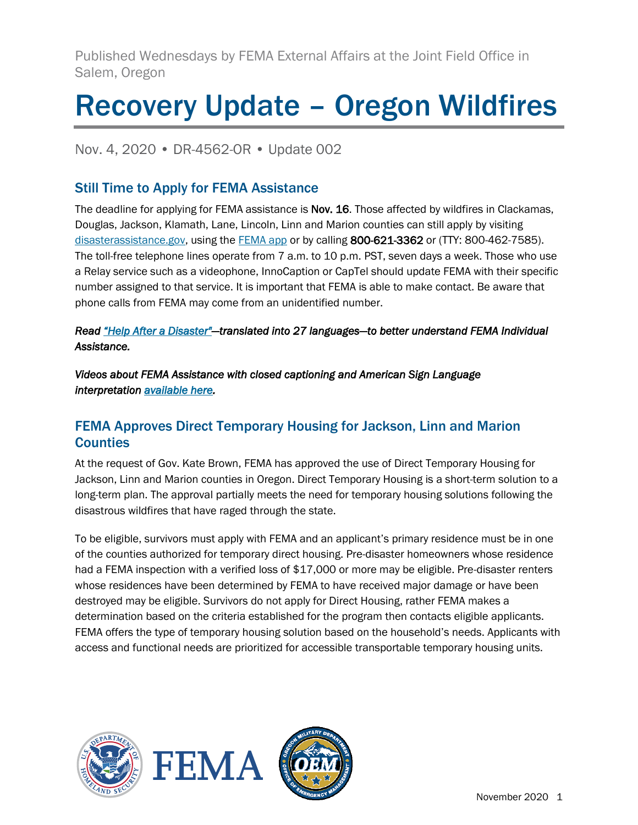Published Wednesdays by FEMA External Affairs at the Joint Field Office in Salem, Oregon

# Recovery Update – Oregon Wildfires

Nov. 4, 2020 • DR-4562-OR • Update 002

### Still Time to Apply for FEMA Assistance

The deadline for applying for FEMA assistance is **Nov. 16.** Those affected by wildfires in Clackamas, Douglas, Jackson, Klamath, Lane, Lincoln, Linn and Marion counties can still apply by visiting disasterassistance.gov, using the FEMA app or by calling 800-621-3362 or (TTY: 800-462-7585). The toll-free telephone lines operate from 7 a.m. to 10 p.m. PST, seven days a week. Those who use a Relay service such as a videophone, InnoCaption or CapTel should update FEMA with their specific number assigned to that service. It is important that FEMA is able to make contact. Be aware that phone calls from FEMA may come from an unidentified number.

#### *Read "Help After a Disaster"—translated into 27 languages—to better understand FEMA Individual Assistance.*

*Videos about FEMA Assistance with closed captioning and American Sign Language interpretation available here.* 

## FEMA Approves Direct Temporary Housing for Jackson, Linn and Marion **Counties**

At the request of Gov. Kate Brown, FEMA has approved the use of Direct Temporary Housing for Jackson, Linn and Marion counties in Oregon. Direct Temporary Housing is a short-term solution to a long-term plan. The approval partially meets the need for temporary housing solutions following the disastrous wildfires that have raged through the state.

To be eligible, survivors must apply with FEMA and an applicant's primary residence must be in one of the counties authorized for temporary direct housing. Pre-disaster homeowners whose residence had a FEMA inspection with a verified loss of \$17,000 or more may be eligible. Pre-disaster renters whose residences have been determined by FEMA to have received major damage or have been destroyed may be eligible. Survivors do not apply for Direct Housing, rather FEMA makes a determination based on the criteria established for the program then contacts eligible applicants. FEMA offers the type of temporary housing solution based on the household's needs. Applicants with access and functional needs are prioritized for accessible transportable temporary housing units.





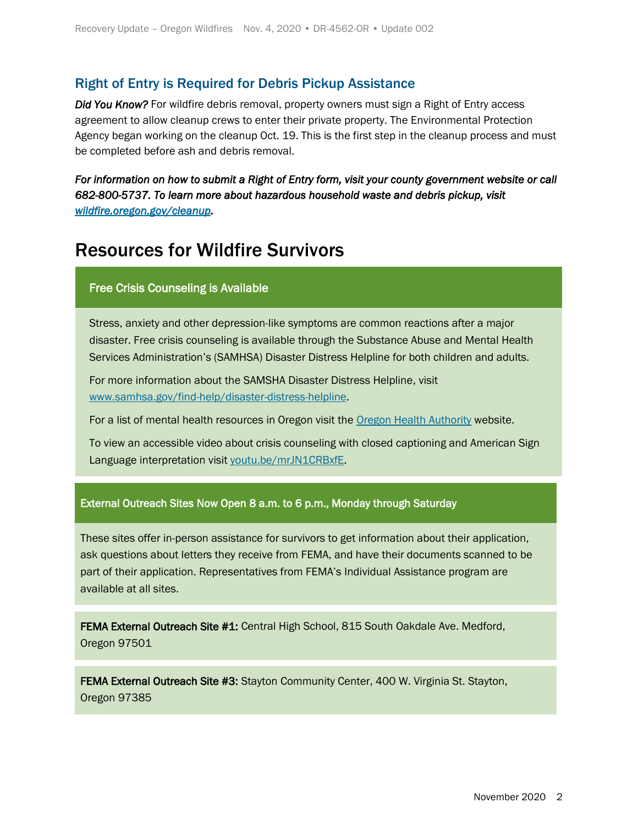#### Right of Entry is Required for Debris Pickup Assistance

*Did You Know?* For wildfire debris removal, property owners must sign a Right of Entry access agreement to allow cleanup crews to enter their private property. The Environmental Protection Agency began working on the cleanup Oct. 19. This is the first step in the cleanup process and must be completed before ash and debris removal.

*For information on how to submit a Right of Entry form, visit your county government website or call 682-800-5737. To learn more about hazardous household waste and debris pickup, visit wildfire.oregon.gov/cleanup.*

# Resources for Wildfire Survivors

#### Free Crisis Counseling is Available

Stress, anxiety and other depression-like symptoms are common reactions after a major disaster. Free crisis counseling is available through the Substance Abuse and Mental Health Services Administration's (SAMHSA) Disaster Distress Helpline for both children and adults.

For more information about the SAMSHA Disaster Distress Helpline, visit www.samhsa.gov/find-help/disaster-distress-helpline.

For a list of mental health resources in Oregon visit the **Oregon Health Authority** website.

To view an accessible video about crisis counseling with closed captioning and American Sign Language interpretation visit youtu.be/mrJN1CRBxfE.

#### External Outreach Sites Now Open 8 a.m. to 6 p.m., Monday through Saturday

These sites offer in-person assistance for survivors to get information about their application, ask questions about letters they receive from FEMA, and have their documents scanned to be part of their application. Representatives from FEMA's Individual Assistance program are available at all sites.

FEMA External Outreach Site #1: Central High School, 815 South Oakdale Ave. Medford, Oregon 97501

FEMA External Outreach Site #3: Stayton Community Center, 400 W. Virginia St. Stayton, Oregon 97385